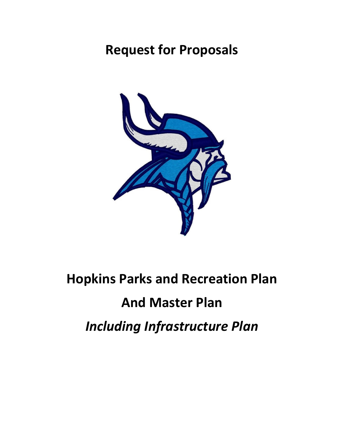# **Request for Proposals**



# **Hopkins Parks and Recreation Plan**

# **And Master Plan**

*Including Infrastructure Plan*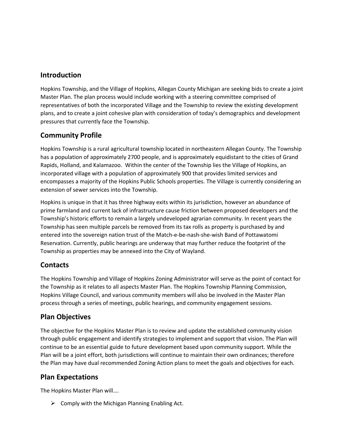#### **Introduction**

Hopkins Township, and the Village of Hopkins, Allegan County Michigan are seeking bids to create a joint Master Plan. The plan process would include working with a steering committee comprised of representatives of both the incorporated Village and the Township to review the existing development plans, and to create a joint cohesive plan with consideration of today's demographics and development pressures that currently face the Township.

## **Community Profile**

Hopkins Township is a rural agricultural township located in northeastern Allegan County. The Township has a population of approximately 2700 people, and is approximately equidistant to the cities of Grand Rapids, Holland, and Kalamazoo. Within the center of the Township lies the Village of Hopkins, an incorporated village with a population of approximately 900 that provides limited services and encompasses a majority of the Hopkins Public Schools properties. The Village is currently considering an extension of sewer services into the Township.

Hopkins is unique in that it has three highway exits within its jurisdiction, however an abundance of prime farmland and current lack of infrastructure cause friction between proposed developers and the Township's historic efforts to remain a largely undeveloped agrarian community. In recent years the Township has seen multiple parcels be removed from its tax rolls as property is purchased by and entered into the sovereign nation trust of the Match-e-be-nash-she-wish Band of Pottawatomi Reservation. Currently, public hearings are underway that may further reduce the footprint of the Township as properties may be annexed into the City of Wayland.

## **Contacts**

The Hopkins Township and Village of Hopkins Zoning Administrator will serve as the point of contact for the Township as it relates to all aspects Master Plan. The Hopkins Township Planning Commission, Hopkins Village Council, and various community members will also be involved in the Master Plan process through a series of meetings, public hearings, and community engagement sessions.

## **Plan Objectives**

The objective for the Hopkins Master Plan is to review and update the established community vision through public engagement and identify strategies to implement and support that vision. The Plan will continue to be an essential guide to future development based upon community support. While the Plan will be a joint effort, both jurisdictions will continue to maintain their own ordinances; therefore the Plan may have dual recommended Zoning Action plans to meet the goals and objectives for each.

## **Plan Expectations**

The Hopkins Master Plan will….

 $\triangleright$  Comply with the Michigan Planning Enabling Act.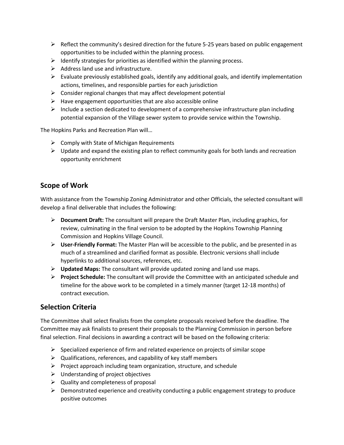- $\triangleright$  Reflect the community's desired direction for the future 5-25 years based on public engagement opportunities to be included within the planning process.
- $\triangleright$  Identify strategies for priorities as identified within the planning process.
- $\triangleright$  Address land use and infrastructure.
- $\triangleright$  Evaluate previously established goals, identify any additional goals, and identify implementation actions, timelines, and responsible parties for each jurisdiction
- $\triangleright$  Consider regional changes that may affect development potential
- $\triangleright$  Have engagement opportunities that are also accessible online
- $\triangleright$  Include a section dedicated to development of a comprehensive infrastructure plan including potential expansion of the Village sewer system to provide service within the Township.

The Hopkins Parks and Recreation Plan will…

- $\triangleright$  Comply with State of Michigan Requirements
- $\triangleright$  Update and expand the existing plan to reflect community goals for both lands and recreation opportunity enrichment

#### **Scope of Work**

With assistance from the Township Zoning Administrator and other Officials, the selected consultant will develop a final deliverable that includes the following:

- ➢ **Document Draft:** The consultant will prepare the Draft Master Plan, including graphics, for review, culminating in the final version to be adopted by the Hopkins Township Planning Commission and Hopkins Village Council.
- ➢ **User-Friendly Format:** The Master Plan will be accessible to the public, and be presented in as much of a streamlined and clarified format as possible. Electronic versions shall include hyperlinks to additional sources, references, etc.
- ➢ **Updated Maps:** The consultant will provide updated zoning and land use maps.
- ➢ **Project Schedule:** The consultant will provide the Committee with an anticipated schedule and timeline for the above work to be completed in a timely manner (target 12-18 months) of contract execution.

#### **Selection Criteria**

The Committee shall select finalists from the complete proposals received before the deadline. The Committee may ask finalists to present their proposals to the Planning Commission in person before final selection. Final decisions in awarding a contract will be based on the following criteria:

- $\triangleright$  Specialized experience of firm and related experience on projects of similar scope
- $\triangleright$  Qualifications, references, and capability of key staff members
- $\triangleright$  Project approach including team organization, structure, and schedule
- $\triangleright$  Understanding of project objectives
- $\triangleright$  Quality and completeness of proposal
- $\triangleright$  Demonstrated experience and creativity conducting a public engagement strategy to produce positive outcomes